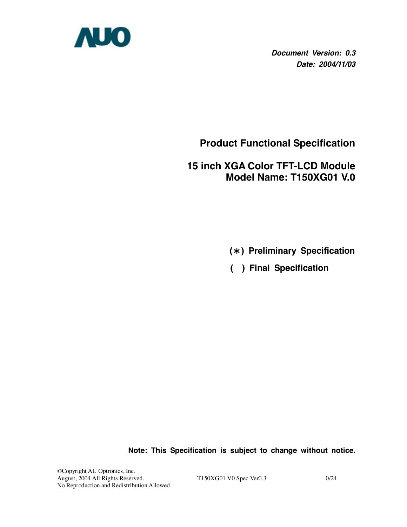

*Document Version: 0.3 Date: 2004/11/03*

**Product Functional Specification**

# **15 inch XGA Color TFT-LCD Module Model Name: T150XG01 V.0**

- **(**\***) Preliminary Specification**
- **( ) Final Specification**

**Note: This Specification is subject to change without notice.**

©Copyright AU Optronics, Inc. August, 2004 All Rights Reserved. T150XG01 V0 Spec Ver0.3 0/24 No Reproduction and Redistribution Allowed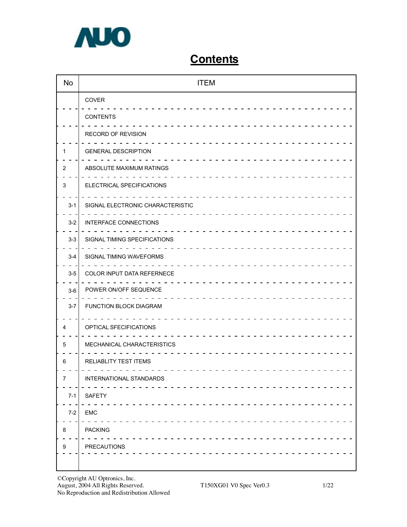

# **Contents**

| No               | <b>ITEM</b>                                                                              |
|------------------|------------------------------------------------------------------------------------------|
|                  | COVER                                                                                    |
|                  | <b>CONTENTS</b>                                                                          |
|                  | RECORD OF REVISION                                                                       |
| 1                | <b>GENERAL DESCRIPTION</b>                                                               |
| $\overline{2}$   | ABSOLUTE MAXIMUM RATINGS                                                                 |
| 3                | ELECTRICAL SPECIFICATIONS                                                                |
| $3 - 1$          | SIGNAL ELECTRONIC CHARACTERISTIC                                                         |
| $3-2$            | INTERFACE CONNECTIONS                                                                    |
| $3-3$            | SIGNAL TIMING SPECIFICATIONS                                                             |
| $3-4$            | SIGNAL TIMING WAVEFORMS                                                                  |
| $3-5$            | COLOR INPUT DATA REFERNECE                                                               |
| $3-6$            | POWER ON/OFF SEQUENCE                                                                    |
| $3 - 7$          | FUNCTION BLOCK DIAGRAM                                                                   |
| 4                | OPTICAL SFECIFICATIONS                                                                   |
| 5                | MECHANICAL CHARACTERISTICS                                                               |
| 6                | RELIABLITY TEST ITEMS                                                                    |
| $\boldsymbol{7}$ | $\begin{array}{cccccccccccccc} - & - & - & - & - \end{array}$<br>INTERNATIONAL STANDARDS |
| $7 - 1$          | <b>SAFETY</b>                                                                            |
| $7-2$            | EMC                                                                                      |
| 8                | <b>PACKING</b>                                                                           |
| 9                | PRECAUTIONS                                                                              |
|                  |                                                                                          |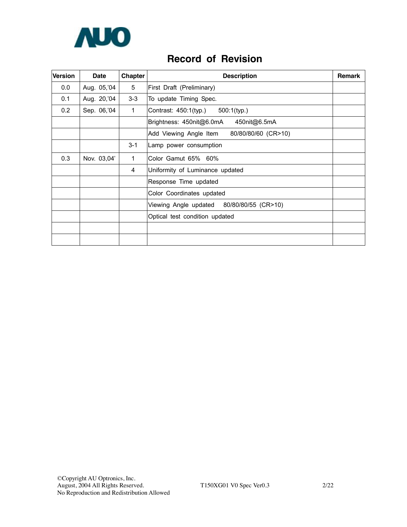

## **Record of Revision**

| <b>Version</b> | <b>Date</b> | Chapter        | <b>Description</b>                            | <b>Remark</b> |
|----------------|-------------|----------------|-----------------------------------------------|---------------|
| 0.0            | Aug. 05, 04 | 5              | First Draft (Preliminary)                     |               |
| 0.1            | Aug. 20, 04 | $3 - 3$        | To update Timing Spec.                        |               |
| 0.2            | Sep. 06, 04 | $\mathbf{1}$   | Contrast: 450:1(typ.)<br>$500:1$ (typ.)       |               |
|                |             |                | Brightness: 450nit@6.0mA<br>450nit@6.5mA      |               |
|                |             |                | Add Viewing Angle Item<br>80/80/80/60 (CR>10) |               |
|                |             | $3 - 1$        | Lamp power consumption                        |               |
| 0.3            | Nov. 03,04' | 1              | Color Gamut 65% 60%                           |               |
|                |             | $\overline{4}$ | Uniformity of Luminance updated               |               |
|                |             |                | Response Time updated                         |               |
|                |             |                | Color Coordinates updated                     |               |
|                |             |                | 80/80/80/55 (CR>10)<br>Viewing Angle updated  |               |
|                |             |                | Optical test condition updated                |               |
|                |             |                |                                               |               |
|                |             |                |                                               |               |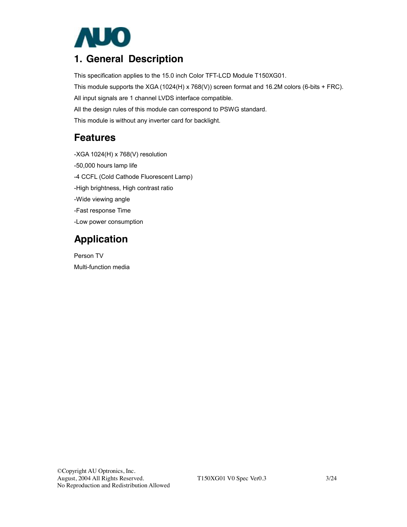

# **1. General Description**

This specification applies to the 15.0 inch Color TFT-LCD Module T150XG01.

This module supports the XGA (1024(H) x 768(V)) screen format and 16.2M colors (6-bits + FRC).

All input signals are 1 channel LVDS interface compatible.

All the design rules of this module can correspond to PSWG standard.

This module is without any inverter card for backlight.

## **Features**

-XGA 1024(H) x 768(V) resolution -50,000 hours lamp life -4 CCFL (Cold Cathode Fluorescent Lamp) -High brightness, High contrast ratio -Wide viewing angle -Fast response Time -Low power consumption

# **Application**

Person TV Multi-function media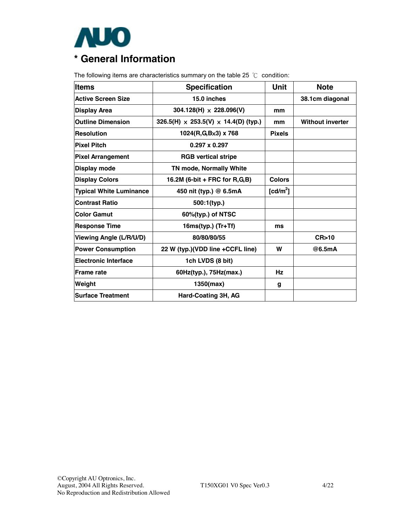

The following items are characteristics summary on the table 25 ℃ condition:

| <b>Items</b>                   | <b>Specification</b>                               | <b>Unit</b>          | <b>Note</b>             |
|--------------------------------|----------------------------------------------------|----------------------|-------------------------|
| <b>Active Screen Size</b>      | 15.0 inches                                        |                      | 38.1cm diagonal         |
| <b>Display Area</b>            | 304.128(H) $\times$ 228.096(V)                     | mm                   |                         |
| <b>Outline Dimension</b>       | 326.5(H) $\times$ 253.5(V) $\times$ 14.4(D) (typ.) | mm                   | <b>Without inverter</b> |
| <b>Resolution</b>              | $1024(R,G,Bx3)$ x 768                              | <b>Pixels</b>        |                         |
| <b>Pixel Pitch</b>             | $0.297 \times 0.297$                               |                      |                         |
| <b>Pixel Arrangement</b>       | <b>RGB vertical stripe</b>                         |                      |                         |
| Display mode                   | TN mode, Normally White                            |                      |                         |
| <b>Display Colors</b>          | 16.2M (6-bit + FRC for R,G,B)                      | <b>Colors</b>        |                         |
| <b>Typical White Luminance</b> | 450 nit (typ.) @ 6.5mA                             | [cd/m <sup>2</sup> ] |                         |
| <b>Contrast Ratio</b>          | 500:1(typ.)                                        |                      |                         |
| <b>Color Gamut</b>             | 60%(typ.) of NTSC                                  |                      |                         |
| <b>Response Time</b>           | 16ms(typ.) (Tr+Tf)                                 | ms                   |                         |
| Viewing Angle (L/R/U/D)        | 80/80/80/55                                        |                      | CR > 10                 |
| <b>Power Consumption</b>       | 22 W (typ.)(VDD line +CCFL line)                   | W                    | @6.5mA                  |
| <b>Electronic Interface</b>    | 1ch LVDS (8 bit)                                   |                      |                         |
| <b>Frame rate</b>              | 60Hz(typ.), 75Hz(max.)                             | Hz                   |                         |
| Weight                         | 1350(max)                                          | g                    |                         |
| <b>Surface Treatment</b>       | Hard-Coating 3H, AG                                |                      |                         |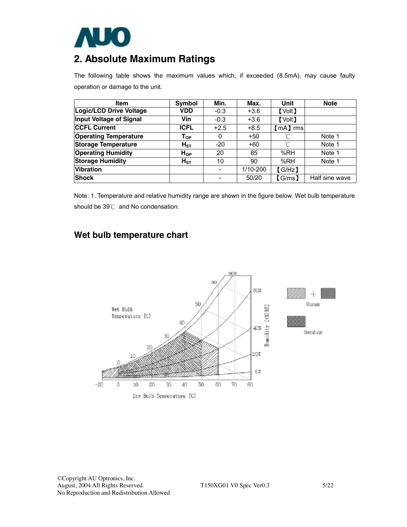

# **2. Absolute Maximum Ratings**

The following table shows the maximum values which, if exceeded (8.5mA), may cause faulty operation or damage to the unit.

| Item                           | Symbol         | Min.   | Max.     | Unit          | <b>Note</b>    |
|--------------------------------|----------------|--------|----------|---------------|----------------|
| <b>Logic/LCD Drive Voltage</b> | VDD            | $-0.3$ | $+3.6$   | <b>[Volt]</b> |                |
| <b>Input Voltage of Signal</b> | Vin            | $-0.3$ | $+3.6$   | <b>[Volt]</b> |                |
| <b>CCFL Current</b>            | <b>ICFL</b>    | $+2.5$ | $+8.5$   | (mA) rms      |                |
| <b>Operating Temperature</b>   | ${\sf T_{OP}}$ | 0      | $+50$    | °C            | Note 1         |
| <b>Storage Temperature</b>     | $H_{ST}$       | $-20$  | +60      | °∩            | Note 1         |
| <b>Operating Humidity</b>      | $H_{OP}$       | 20     | 85       | %RH           | Note 1         |
| <b>Storage Humidity</b>        | $H_{ST}$       | 10     | 90       | %RH           | Note 1         |
| <b>Vibration</b>               |                |        | 1/10-200 | [GHz]         |                |
| <b>Shock</b>                   |                |        | 50/20    | [G/ms]        | Half sine wave |

Note: 1. Temperature and relative humidity range are shown in the figure below. Wet bulb temperature should be 39℃ and No condensation.

### **Wet bulb temperature chart**

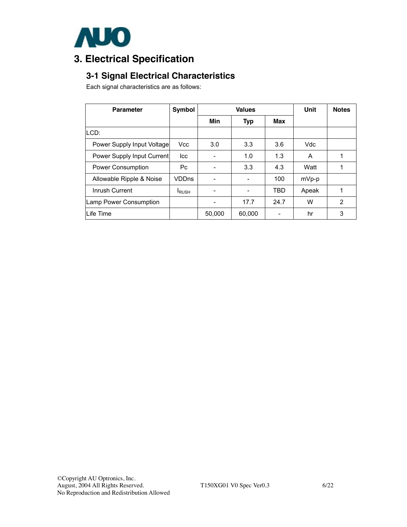

# **3. Electrical Specification**

## **3-1 Signal Electrical Characteristics**

Each signal characteristics are as follows:

| <b>Parameter</b>              | <b>Symbol</b> |        | Unit       | <b>Notes</b> |       |   |
|-------------------------------|---------------|--------|------------|--------------|-------|---|
|                               |               | Min    | <b>Typ</b> | Max          |       |   |
| ILCD:                         |               |        |            |              |       |   |
| Power Supply Input Voltage    | Vcc           | 3.0    | 3.3        | 3.6          | Vdc   |   |
| Power Supply Input Current    | lcc           |        | 1.0        | 1.3          | A     |   |
| <b>Power Consumption</b>      | Pc.           |        | 3.3        | 4.3          | Watt  |   |
| Allowable Ripple & Noise      | <b>VDDns</b>  |        |            | 100          | mVp-p |   |
| Inrush Current                | <b>I</b> RUSH |        |            | TBD          | Apeak |   |
| <b>Lamp Power Consumption</b> |               |        | 17.7       | 24.7         | W     | 2 |
| Life Time                     |               | 50,000 | 60,000     |              | hr    | 3 |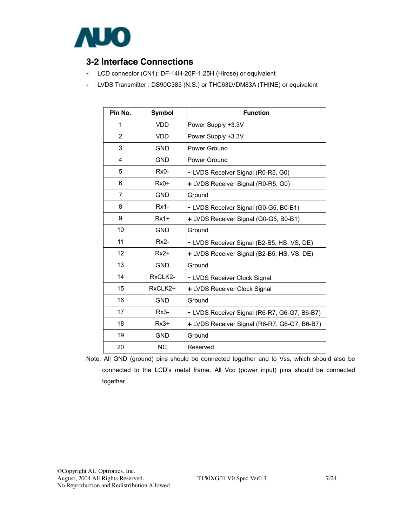

### **3-2 Interface Connections**

- LCD connector (CN1): DF-14H-20P-1.25H (Hirose) or equivalent
- LVDS Transmitter : DS90C385 (N.S.) or THC63LVDM83A (THINE) or equivalent

| Pin No.        | <b>Symbol</b> | <b>Function</b>                              |
|----------------|---------------|----------------------------------------------|
| 1              | <b>VDD</b>    | Power Supply +3.3V                           |
| 2              | <b>VDD</b>    | Power Supply +3.3V                           |
| 3              | <b>GND</b>    | Power Ground                                 |
| 4              | <b>GND</b>    | <b>Power Ground</b>                          |
| 5              | $Rx0-$        | - LVDS Receiver Signal (R0-R5, G0)           |
| 6              | $Rx0+$        | + LVDS Receiver Signal (R0-R5, G0)           |
| $\overline{7}$ | <b>GND</b>    | Ground                                       |
| 8              | $Rx1-$        | - LVDS Receiver Signal (G0-G5, B0-B1)        |
| 9              | $Rx1+$        | + LVDS Receiver Signal (G0-G5, B0-B1)        |
| 10             | <b>GND</b>    | Ground                                       |
| 11             | $Rx2-$        | - LVDS Receiver Signal (B2-B5, HS, VS, DE)   |
| 12             | $Rx2+$        | + LVDS Receiver Signal (B2-B5, HS, VS, DE)   |
| 13             | <b>GND</b>    | Ground                                       |
| 14             | RxCLK2-       | - LVDS Receiver Clock Signal                 |
| 15             | RxCLK2+       | + LVDS Receiver Clock Signal                 |
| 16             | <b>GND</b>    | Ground                                       |
| 17             | $Rx3-$        | - LVDS Receiver Signal (R6-R7, G6-G7, B6-B7) |
| 18             | $Rx3+$        | + LVDS Receiver Signal (R6-R7, G6-G7, B6-B7) |
| 19             | <b>GND</b>    | Ground                                       |
| 20             | <b>NC</b>     | Reserved                                     |

Note: All GND (ground) pins should be connected together and to Vss, which should also be connected to the LCD's metal frame. All Vcc (power input) pins should be connected together.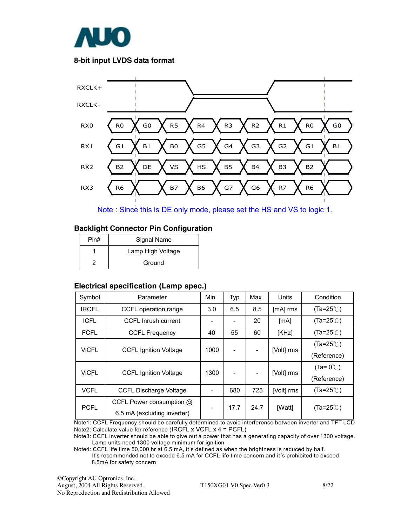

#### **8-bit input LVDS data format**



Note : Since this is DE only mode, please set the HS and VS to logic 1.

#### **Backlight Connector Pin Configuration**

| Pin# | Signal Name       |
|------|-------------------|
|      | Lamp High Voltage |
|      | Ground            |

#### **Electrical specification (Lamp spec.)**

| Symbol       | Parameter                     | Min  | Typ  | Max  | Units      | Condition           |
|--------------|-------------------------------|------|------|------|------------|---------------------|
| <b>IRCFL</b> | CCFL operation range          | 3.0  | 6.5  | 8.5  | [mA] rms   | $(Ta=25^{\circ}$    |
| <b>ICFL</b>  | CCFL Inrush current           |      |      | 20   | [mA]       | $(Ta=25^{\circ}$ C) |
| <b>FCFL</b>  | <b>CCFL Frequency</b>         | 40   | 55   | 60   | [KHz]      | $(Ta=25^{\circ}$ C) |
| <b>VICFL</b> |                               | 1000 |      |      |            | $(Ta=25^{\circ}$    |
|              | <b>CCFL Ignition Voltage</b>  |      |      | -    | [Volt] rms | (Reference)         |
| <b>ViCFL</b> | <b>CCFL Ignition Voltage</b>  | 1300 |      |      | [Volt] rms | $(Ta = 0^{\circ}$   |
|              |                               |      |      |      |            | (Reference)         |
| <b>VCFL</b>  | <b>CCFL Discharge Voltage</b> |      | 680  | 725  | [Volt] rms | $(Ta=25^{\circ}$    |
|              | CCFL Power consumption @      |      | 17.7 | 24.7 | [Watt]     | $(Ta=25^{\circ}$ C) |
| <b>PCFL</b>  | 6.5 mA (excluding inverter)   |      |      |      |            |                     |

Note1: CCFL Frequency should be carefully determined to avoid interference between inverter and TFT LCD Note2: Calculate value for reference (IRCFL x VCFL x 4 = PCFL)

Note3: CCFL inverter should be able to give out a power that has a generating capacity of over 1300 voltage. Lamp units need 1300 voltage minimum for ignition

Note4: CCFL life time 50,000 hr at 6.5 mA, it's defined as when the brightness is reduced by half. It's recommended not to exceed 6.5 mA for CCFL life time concern and it's prohibited to exceed 8.5mA for safety concern

©Copyright AU Optronics, Inc. August, 2004 All Rights Reserved. T150XG01 V0 Spec Ver0.3 8/22 No Reproduction and Redistribution Allowed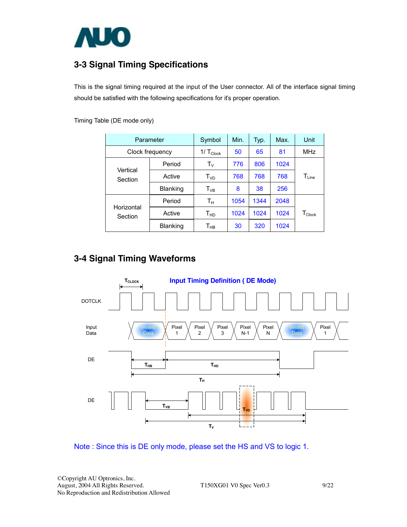

## **3-3 Signal Timing Specifications**

This is the signal timing required at the input of the User connector. All of the interface signal timing should be satisfied with the following specifications for it's proper operation.

|                       | Parameter       | Symbol                     | Min. | Typ. | Max. | Unit             |
|-----------------------|-----------------|----------------------------|------|------|------|------------------|
|                       | Clock frequency | $1/\top_{\text{Clock}}$    | 50   | 65   | 81   | <b>MHz</b>       |
|                       | Period          | $\mathsf{T}_{\mathsf{V}}$  | 776  | 806  | 1024 |                  |
| Vertical<br>Section   | Active          | T <sub>VD</sub>            | 768  | 768  | 768  | $T_{Line}$       |
|                       | <b>Blanking</b> | $T_{VB}$                   | 8    | 38   | 256  |                  |
|                       | Period          | Т <sub>н</sub>             | 1054 | 1344 | 2048 |                  |
| Horizontal<br>Section | Active          | $\mathsf{T}_{\mathsf{HD}}$ | 1024 | 1024 | 1024 | $T_{\sf{Clock}}$ |
|                       | <b>Blanking</b> | Т <sub>нв</sub>            | 30   | 320  | 1024 |                  |

Timing Table (DE mode only)

### **3-4 Signal Timing Waveforms**



Note : Since this is DE only mode, please set the HS and VS to logic 1.

©Copyright AU Optronics, Inc. August, 2004 All Rights Reserved. T150XG01 V0 Spec Ver0.3 9/22 No Reproduction and Redistribution Allowed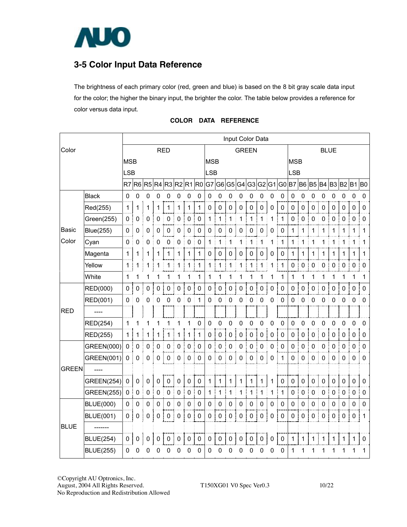

## **3-5 Color Input Data Reference**

The brightness of each primary color (red, green and blue) is based on the 8 bit gray scale data input for the color; the higher the binary input, the brighter the color. The table below provides a reference for color versus data input.

|              |                   |                |                  |             |                |                                     |             |                  |             |              |                |                |             | Input Color Data |                                                                         |              |                  |             |             |                  |                  |             |             |             |              |
|--------------|-------------------|----------------|------------------|-------------|----------------|-------------------------------------|-------------|------------------|-------------|--------------|----------------|----------------|-------------|------------------|-------------------------------------------------------------------------|--------------|------------------|-------------|-------------|------------------|------------------|-------------|-------------|-------------|--------------|
| Color        |                   |                | <b>RED</b>       |             |                |                                     |             |                  |             | <b>GREEN</b> |                |                |             |                  |                                                                         |              | <b>BLUE</b>      |             |             |                  |                  |             |             |             |              |
|              | <b>MSB</b>        |                |                  |             |                |                                     |             |                  | <b>MSB</b>  |              |                |                |             |                  | <b>MSB</b>                                                              |              |                  |             |             |                  |                  |             |             |             |              |
|              |                   | <b>LSB</b>     |                  |             |                |                                     |             |                  |             |              | <b>LSB</b>     |                |             |                  |                                                                         |              |                  | <b>LSB</b>  |             |                  |                  |             |             |             |              |
|              |                   |                |                  |             |                |                                     |             |                  |             |              |                |                |             |                  | R7 R6 R5 R4 R3 R2 R1 R0 G7 G6 G5 G4 G3 G2 G1 G0 B7 B6 B5 B4 B3 B2 B1 B0 |              |                  |             |             |                  |                  |             |             |             |              |
|              | <b>Black</b>      | 0              | $\mathbf 0$      | 0           | 0              | 0                                   | 0           | 0                | 0           | 0            | 0              | 0              | 0           | 0                | 0                                                                       | 0            | 0                | 0           | 0           | 0                | 0                | 0           | 0           | 0           | $\pmb{0}$    |
|              | Red(255)          | $\mathbf{1}$   | 1                | 1           | 1              | 1                                   | 1           | 1                | 1           | $\mathbf 0$  | 0              | $\pmb{0}$      | 0           | $\mathbf 0$      | 0                                                                       | 0            | 0                | $\mathbf 0$ | $\pmb{0}$   | 0                | 0                | $\pmb{0}$   | 0           | 0           | 0            |
|              | Green(255)        | $\pmb{0}$      | 0                | 0           | 0              | $\pmb{0}$                           | 0           | $\mathbf 0$      | $\mathbf 0$ | 1            | 1              | 1              | 1           | 1                | $\mathbf 1$                                                             | 1            | $\mathbf{1}$     | $\mathsf 0$ | $\mathbf 0$ | 0                | 0                | 0           | 0           | $\pmb{0}$   | $\mathbf 0$  |
| Basic        | Blue(255)         | 0              | 0                | 0           | 0              | $\pmb{0}$                           | 0           | 0                | 0           | 0            | 0              | 0              | 0           | 0                | 0                                                                       | 0            | 0                | 1           | 1           | 1                | 1                | 1           | 1           | 1           | 1            |
| Color        | Cyan              | 0              | 0                | 0           | 0              | 0                                   | 0           | 0                | $\pmb{0}$   | 1            | 1              | 1              | 1           | 1                | 1                                                                       | 1            | 1                | 1           | 1           | 1                | 1                | 1           | 1           | 1           | 1            |
|              | Magenta           | 1              |                  | 1           | 1              | 1                                   | 1           | 1                | 1           | 0            | 0              | $\pmb{0}$      | 0           | 0                | 0                                                                       | 0            | 0                | 1           | 1           | 1                | 1                | 1           | 1           | 1           | 1            |
|              | Yellow            | $\mathbf 1$    | 1                | 1           | 1              | 1<br>ŧ                              | 1           | 1                | 1           | 1            | 1              | 1              | 1           | 1                | 1                                                                       | 1            | $\mathbf 1$      | 0           | $\pmb{0}$   | 0                | 0                | 0           | $\pmb{0}$   | 0<br>÷      | 0            |
|              | White             | 1              | 1                |             | 1              | 1                                   | 1           | 1                | 1           | 1            | 1              | 1              | 1           | 1                | 1                                                                       | 1            | 1                | 1           | 1           | 1                | 1                | 1           | 1           | 1           | 1            |
|              | RED(000)          | $\mathbf 0$    | 0                | 0           | 0              | $\pmb{0}$                           | 0           | $\pmb{0}$        | 0           | 0            | 0              | $\pmb{0}$      | 0           | $\pmb{0}$        | 0                                                                       | 0            | $\mathbf 0$      | 0           | $\mathbf 0$ | $\mathbf 0$      | 0                | 0           | 0           | 0           | $\mathbf 0$  |
|              | RED(001)          | 0              | 0                | 0           | 0              | 0                                   | 0           | 0                | 1           | 0            | 0              | 0              | 0           | 0                | 0                                                                       | 0            | 0                | 0           | 0           | 0                | 0                | 0           | 0           | 0<br>÷.     | 0            |
| <b>RED</b>   |                   |                |                  |             |                |                                     |             |                  |             |              |                |                |             |                  |                                                                         |              |                  |             |             |                  |                  |             |             |             |              |
|              | RED(254)          | 1              | 1                |             | 1              | 1                                   | 1           | 1                | $\pmb{0}$   | $\pmb{0}$    | 0              | 0              | 0           | 0                | 0                                                                       | 0            | $\mathbf 0$      | 0           | 0           | 0                | 0                | $\mathbf 0$ | $\mathbf 0$ | $\mathbf 0$ | 0            |
|              | RED(255)          | 1 <sup>1</sup> | 1                | 1           | Ť.<br>1<br>ŧ   | 1<br>Ť                              | 1           | $\mathbf 1$<br>÷ | 1           | $\pmb{0}$    | $\pmb{0}$<br>î | $\pmb{0}$      | 0           | $\pmb{0}$        | ŧ<br>0                                                                  | $\pmb{0}$    | 0<br>Ĩ.          | 0           | 0           | $\pmb{0}$        | 0                | $\pmb{0}$   | $\pmb{0}$   | $\pmb{0}$   | $\mathbf{0}$ |
|              | GREEN(000)        | $\mathbf 0$    | 0                | 0           | 0              | ŧ<br>$\pmb{0}$                      | 0           | 0                | 0           | 0            | $\mathbf 0$    | $\mathbf 0$    | 0           | 0                | $\pmb{0}$                                                               | 0            | $\mathbf 0$      | 0           | $\mathbf 0$ | 0                | 0                | 0           | $\mathbf 0$ | 0           | 0            |
|              | GREEN(001)        | $\mathbf 0$    | 0                | 0           | 0              | $\mathbf 0$                         | 0           | 0                | 0           | $\mathbf 0$  | 0              | $\mathbf 0$    | $\mathbf 0$ | $\mathbf 0$      | $\pmb{0}$                                                               | 0            | 1                | 0           | 0           | 0                | 0                | $\mathbf 0$ | 0           | 0           | $\pmb{0}$    |
| <b>GREEN</b> |                   |                |                  |             |                |                                     |             |                  |             |              |                |                |             |                  |                                                                         |              |                  |             |             |                  |                  |             |             |             |              |
|              | <b>GREEN(254)</b> | $\pmb{0}$      | $\mathbf 0$      | 0           | 0              | $\pmb{0}$                           | $\mathbf 0$ | $\pmb{0}$        | $\pmb{0}$   | 1            | $\mathbf 1$    | 1              | 1           | 1                | 1                                                                       | 1            | $\mathbf 0$      | 0           | $\pmb{0}$   | $\pmb{0}$        | $\pmb{0}$        | 0           | $\pmb{0}$   | 0           | $\pmb{0}$    |
|              | <b>GREEN(255)</b> | $\pmb{0}$      | $\boldsymbol{0}$ | $\mathbf 0$ | $\mathbf 0$    | $\mathbf 0$                         | $\pmb{0}$   | $\pmb{0}$        | $\pmb{0}$   | 1            | $\mathbf 1$    | 1              | 1           | 1                | $\mathbf 1$                                                             | $\mathbf{1}$ | 1                | 0           | $\pmb{0}$   | $\mathbf 0$      | $\boldsymbol{0}$ | $\pmb{0}$   | $\pmb{0}$   | $\pmb{0}$   | $\pmb{0}$    |
|              | <b>BLUE(000)</b>  | $\mathbf 0$    | 0                | $\mathbf 0$ | 0              | 0                                   | 0           | 0                | $\mathbf 0$ | 0            | 0              | $\mathbf 0$    | 0           | 0                | $\mathbf 0$                                                             | 0            | 0                | 0           | 0           | $\mathsf 0$      | 0                | 0           | 0           | 0           | 0            |
|              | <b>BLUE(001)</b>  | 0              | $\mathbf 0$      | $\pmb{0}$   | $\pmb{0}$<br>ĵ | $\begin{array}{c} 0 \\ \end{array}$ | $\pmb{0}$   | $\pmb{0}$<br>Ť   | $\pmb{0}$   | $\mathbf 0$  | $\pmb{0}$<br>ŧ | $\pmb{0}$<br>÷ | $\pmb{0}$   | $\pmb{0}$        | $\pmb{0}$<br>ł                                                          | $\pmb{0}$    | $\mathbf 0$<br>ţ | $0$ :       | $\pmb{0}$   | $\mathbf 0$<br>÷ | $\pmb{0}$        | 0           | $\pmb{0}$   | 0           | -1           |
| <b>BLUE</b>  |                   |                |                  |             |                |                                     |             |                  |             |              |                |                |             |                  |                                                                         |              |                  |             |             |                  |                  |             |             |             |              |
|              | <b>BLUE(254)</b>  | 0              | 0                | $\pmb{0}$   | 0              | $\mathbf 0$                         | 0           | $\pmb{0}$        | 0           | $\mathbf 0$  | 0              | $\mathbf 0$    | 0           | 0                | $\pmb{0}$                                                               | 0            | $\pmb{0}$        | $1 \mid$    | 1           | 1                | 1                | 1           | 1           | $\mathbf 1$ | $\pmb{0}$    |
|              | <b>BLUE(255)</b>  | 0              | 0                | 0           | 0              | 0                                   | 0           | 0                | 0           | $\pmb{0}$    | 0              | 0              | 0           | 0                | 0                                                                       | 0            | 0                | 1           | 1           | 1                | 1                | 1           | 1           | 1           | 1            |
|              |                   |                |                  |             |                |                                     |             |                  |             |              |                |                |             |                  |                                                                         |              |                  |             |             |                  |                  |             |             |             |              |

#### **COLOR DATA REFERENCE**

©Copyright AU Optronics, Inc. August, 2004 All Rights Reserved. T150XG01 V0 Spec Ver0.3 10/22 No Reproduction and Redistribution Allowed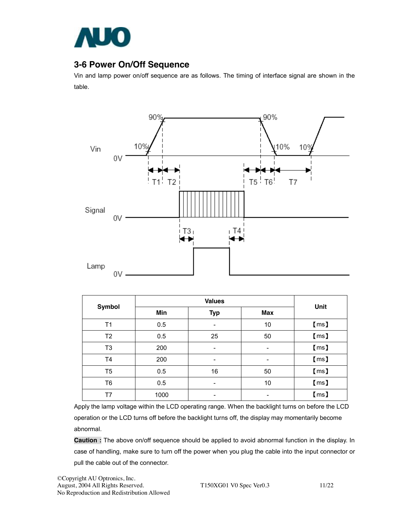

### **3-6 Power On/Off Sequence**

Vin and lamp power on/off sequence are as follows. The timing of interface signal are shown in the table.



| <b>Symbol</b>  | Min  | <b>Typ</b>               | <b>Max</b>               | Unit            |
|----------------|------|--------------------------|--------------------------|-----------------|
| T1             | 0.5  |                          | 10                       | $\mathsf{[ms]}$ |
| T <sub>2</sub> | 0.5  | 25                       | 50                       | $\mathsf{[ms]}$ |
| T <sub>3</sub> | 200  | $\overline{\phantom{a}}$ | $\overline{\phantom{a}}$ | $\mathsf{[ms]}$ |
| T4             | 200  | $\overline{\phantom{a}}$ | $\overline{\phantom{a}}$ | $\mathsf{[ms]}$ |
| T <sub>5</sub> | 0.5  | 16                       | 50                       | $\mathsf{[ms]}$ |
| T <sub>6</sub> | 0.5  | $\overline{\phantom{0}}$ | 10                       | $\mathsf{[ms]}$ |
| T7             | 1000 | -                        | $\overline{\phantom{a}}$ | $\mathsf{[ms]}$ |

Apply the lamp voltage within the LCD operating range. When the backlight turns on before the LCD operation or the LCD turns off before the backlight turns off, the display may momentarily become abnormal.

**Caution :** The above on/off sequence should be applied to avoid abnormal function in the display. In case of handling, make sure to turn off the power when you plug the cable into the input connector or pull the cable out of the connector.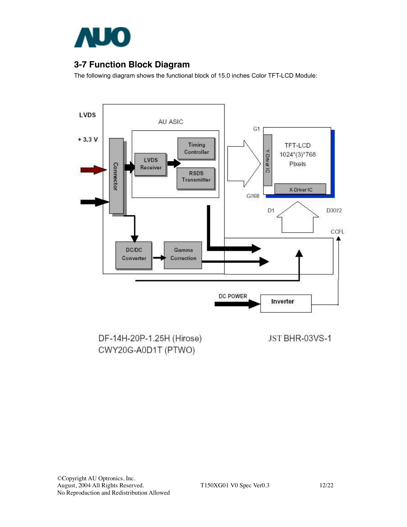

### **3-7 Function Block Diagram**

The following diagram shows the functional block of 15.0 inches Color TFT-LCD Module:



DF-14H-20P-1.25H (Hirose) CWY20G-A0D1T (PTWO)

JST BHR-03VS-1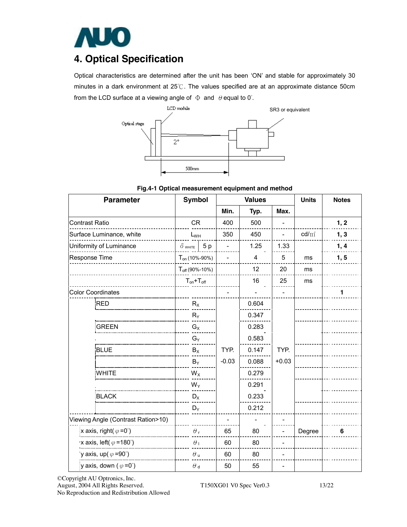

## **4. Optical Specification**

Optical characteristics are determined after the unit has been 'ON' and stable for approximately 30 minutes in a dark environment at 25℃. The values specified are at an approximate distance 50cm from the LCD surface at a viewing angle of  $\Phi$  and  $\theta$  equal to 0°.



| <b>Parameter</b>                       | <b>Symbol</b>       |            | <b>Values</b> |       |         | <b>Units</b> | <b>Notes</b> |
|----------------------------------------|---------------------|------------|---------------|-------|---------|--------------|--------------|
|                                        |                     |            | Min.          | Typ.  | Max.    |              |              |
| <b>CR</b><br><b>Contrast Ratio</b>     |                     |            | 400           | 500   |         |              | 1, 2         |
| Surface Luminance, white               | $L_{WH}$            |            | 350           | 450   |         | $cd/m^2$     | 1, 3         |
| Uniformity of Luminance                | $\delta$ white      | 5p         |               | 1.25  | 1.33    |              | 1, 4         |
| Response Time                          | $T_{on}$ (10%-90%)  |            |               | 4     | 5       | ms           | 1, 5         |
|                                        | $T_{off}$ (90%-10%) |            |               | 12    | 20      | ms           |              |
|                                        | $T_{on}+T_{off}$    |            |               | 16    | 25      | ms           |              |
| <b>Color Coordinates</b>               |                     |            |               |       |         |              | 1            |
| <b>RED</b>                             | $R_X$               |            |               | 0.604 |         |              |              |
|                                        | $R_Y$               |            |               | 0.347 |         |              |              |
| <b>GREEN</b>                           | $G_X$               |            |               | 0.283 |         |              |              |
|                                        | $G_Y$               |            |               | 0.583 |         |              |              |
| <b>BLUE</b>                            | $B_X$               |            | TYP.          | 0.147 | TYP.    |              |              |
|                                        | $B_{\mathsf{Y}}$    |            | $-0.03$       | 0.088 | $+0.03$ |              |              |
| <b>WHITE</b>                           | $W_X$               |            |               | 0.279 |         |              |              |
|                                        | $W_Y$               |            |               | 0.291 |         |              |              |
| <b>BLACK</b>                           | $D_X$               |            |               | 0.233 |         |              |              |
|                                        | $D_Y$               |            |               | 0.212 |         |              |              |
| Viewing Angle (Contrast Ration>10)     |                     |            |               |       |         |              |              |
| x axis, right( $\varphi = 0^{\circ}$ ) | $\theta_{\rm r}$    |            | 65            | 80    |         | Degree       | 6            |
| x axis, left( $\varphi$ =180°)         |                     | $\theta_1$ | 60            | 80    |         |              |              |
| y axis, up( $\varphi$ =90°)            | $\theta$ u          |            | 60            | 80    |         |              |              |
| y axis, down ( $\varphi = 0^{\circ}$ ) | $\theta$ d          |            | 50            | 55    |         |              |              |

©Copyright AU Optronics, Inc. August, 2004 All Rights Reserved. T150XG01 V0 Spec Ver0.3 13/22 No Reproduction and Redistribution Allowed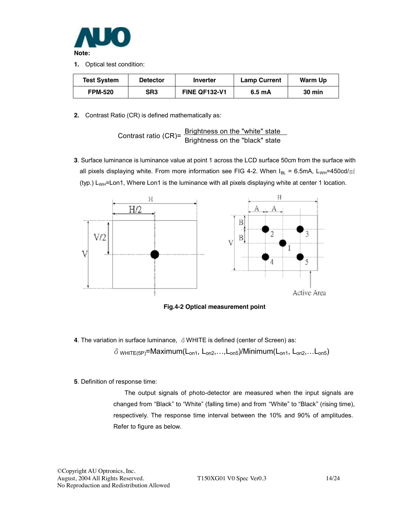

**1.** Optical test condition:

| <b>Test System</b> | <b>Detector</b> | Inverter             | <b>Lamp Current</b> | Warm Up       |
|--------------------|-----------------|----------------------|---------------------|---------------|
| <b>FPM-520</b>     | SR <sub>3</sub> | <b>FINE QF132-V1</b> | 6.5 mA              | <b>30 min</b> |

**2.** Contrast Ratio (CR) is defined mathematically as:

Contrast ratio (CR)=  $\frac{\text{Brighness on the "white" state}}{\text{Brightness on the "black" state}}$ 

**3**. Surface luminance is luminance value at point 1 across the LCD surface 50cm from the surface with all pixels displaying white. From more information see FIG 4-2. When  $I_{BL} = 6.5$ mA, L<sub>WH</sub>=450cd/ $m^2$ (typ.)  $L_{WH}$ =Lon1, Where Lon1 is the luminance with all pixels displaying white at center 1 location.



**Fig.4-2 Optical measurement point** 

**4**. The variation in surface luminance, δWHITE is defined (center of Screen) as:

 $\delta$  white(5P)=Maximum(L<sub>on1</sub>, L<sub>on2</sub>,...,L<sub>on5</sub>)/Minimum(L<sub>on1</sub>, L<sub>on2</sub>,...L<sub>on5</sub>)

**5**. Definition of response time:

The output signals of photo-detector are measured when the input signals are changed from "Black" to "White" (falling time) and from "White" to "Black" (rising time), respectively. The response time interval between the 10% and 90% of amplitudes. Refer to figure as below.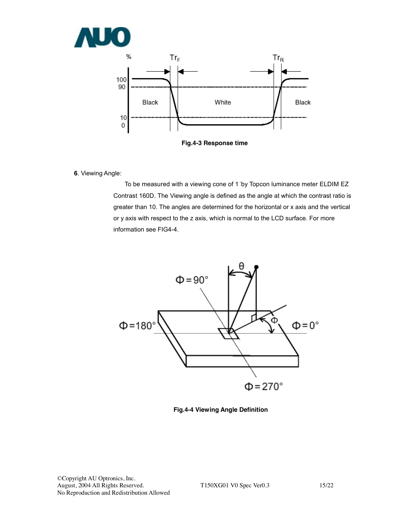

**Fig.4-3 Response time** 

**6**. Viewing Angle:

To be measured with a viewing cone of 1 °by Topcon luminance meter ELDIM EZ Contrast 160D. The Viewing angle is defined as the angle at which the contrast ratio is greater than 10. The angles are determined for the horizontal or x axis and the vertical or y axis with respect to the z axis, which is normal to the LCD surface. For more information see FIG4-4.



**Fig.4-4 Viewing Angle Definition**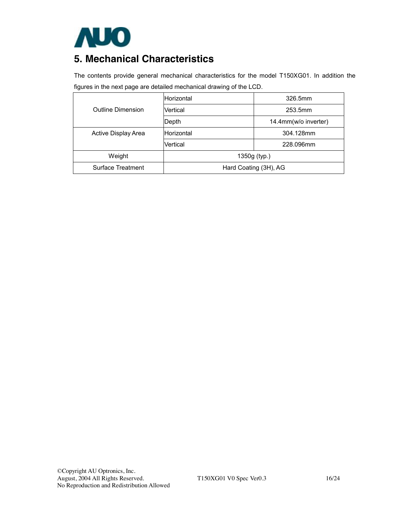

# **5. Mechanical Characteristics**

The contents provide general mechanical characteristics for the model T150XG01. In addition the figures in the next page are detailed mechanical drawing of the LCD.

|                     | Horizontal            | 326.5mm              |  |
|---------------------|-----------------------|----------------------|--|
| Outline Dimension   | Vertical              | 253.5mm              |  |
|                     | Depth                 | 14.4mm(w/o inverter) |  |
| Active Display Area | Horizontal            | 304.128mm            |  |
|                     | Vertical              | 228.096mm            |  |
| Weight              | 1350g (typ.)          |                      |  |
| Surface Treatment   | Hard Coating (3H), AG |                      |  |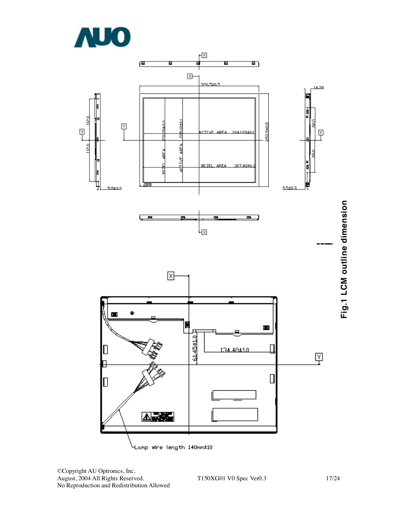



©Copyright AU Optronics, Inc. August, 2004 All Rights Reserved. T150XG01 V0 Spec Ver0.3 17/24 No Reproduction and Redistribution Allowed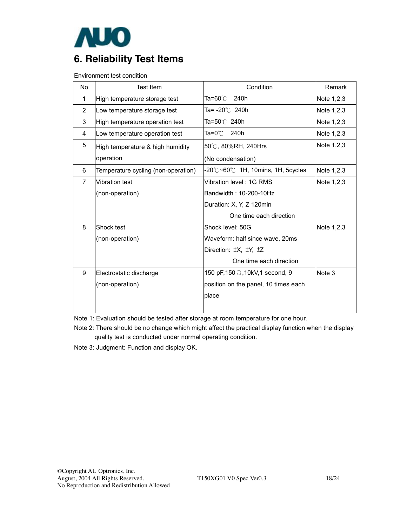

Environment test condition

| No.            | <b>Test Item</b>                    | Condition                                                      | Remark     |
|----------------|-------------------------------------|----------------------------------------------------------------|------------|
| $\mathbf 1$    | High temperature storage test       | Ta=60℃<br>240h                                                 | Note 1,2,3 |
| $\overline{2}$ | Low temperature storage test        | Ta= -20℃ 240h                                                  | Note 1,2,3 |
| 3              | High temperature operation test     | Ta=50℃ 240h                                                    | Note 1,2,3 |
| 4              | Low temperature operation test      | Ta=0℃ 240h                                                     | Note 1,2,3 |
| 5              | High temperature & high humidity    | 50℃, 80%RH, 240Hrs                                             | Note 1,2,3 |
|                | operation                           | (No condensation)                                              |            |
| 6              | Temperature cycling (non-operation) | $-20^{\circ}$ C $\sim$ 60 $^{\circ}$ C 1H, 10mins, 1H, 5cycles | Note 1,2,3 |
| $\overline{7}$ | Vibration test                      | Vibration level: 1G RMS                                        | Note 1,2,3 |
|                | (non-operation)                     | Bandwidth: 10-200-10Hz                                         |            |
|                |                                     | Duration: X, Y, Z 120min                                       |            |
|                |                                     | One time each direction                                        |            |
| 8              | Shock test                          | Shock level: 50G                                               | Note 1,2,3 |
|                | (non-operation)                     | Waveform: half since wave, 20ms                                |            |
|                |                                     | Direction: ±X, ±Y, ±Z                                          |            |
|                |                                     | One time each direction                                        |            |
| 9              | Electrostatic discharge             | 150 pF,150 $\Omega$ ,10kV,1 second, 9                          | Note 3     |
|                | (non-operation)                     | position on the panel, 10 times each                           |            |
|                |                                     | place                                                          |            |
|                |                                     |                                                                |            |

Note 1: Evaluation should be tested after storage at room temperature for one hour.

Note 2: There should be no change which might affect the practical display function when the display quality test is conducted under normal operating condition.

Note 3: Judgment: Function and display OK.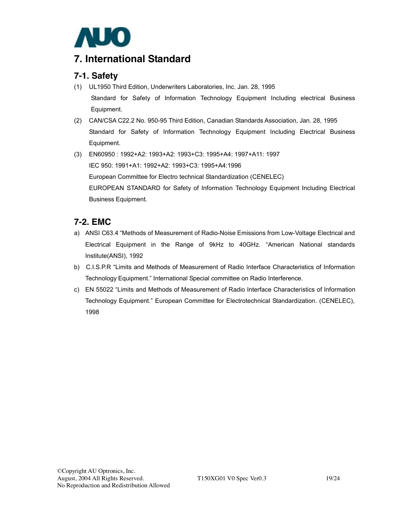

## **7. International Standard**

### **7-1. Safety**

- (1) UL1950 Third Edition, Underwriters Laboratories, Inc. Jan. 28, 1995 Standard for Safety of Information Technology Equipment Including electrical Business Equipment.
- (2) CAN/CSA C22.2 No. 950-95 Third Edition, Canadian Standards Association, Jan. 28, 1995 Standard for Safety of Information Technology Equipment Including Electrical Business Equipment.
- (3) EN60950 : 1992+A2: 1993+A2: 1993+C3: 1995+A4: 1997+A11: 1997 IEC 950: 1991+A1: 1992+A2: 1993+C3: 1995+A4:1996 European Committee for Electro technical Standardization (CENELEC) EUROPEAN STANDARD for Safety of Information Technology Equipment Including Electrical Business Equipment.

### **7-2. EMC**

- a) ANSI C63.4 "Methods of Measurement of Radio-Noise Emissions from Low-Voltage Electrical and Electrical Equipment in the Range of 9kHz to 40GHz. "American National standards Institute(ANSI), 1992
- b) C.I.S.P.R "Limits and Methods of Measurement of Radio Interface Characteristics of Information Technology Equipment." International Special committee on Radio Interference.
- c) EN 55022 "Limits and Methods of Measurement of Radio Interface Characteristics of Information Technology Equipment." European Committee for Electrotechnical Standardization. (CENELEC), 1998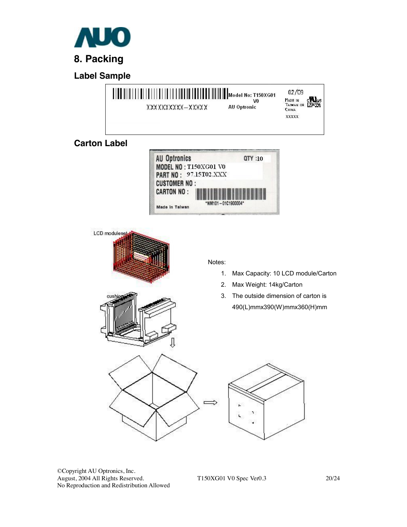

**Label Sample** 



©Copyright AU Optronics, Inc. August, 2004 All Rights Reserved. T150XG01 V0 Spec Ver0.3 20/24 No Reproduction and Redistribution Allowed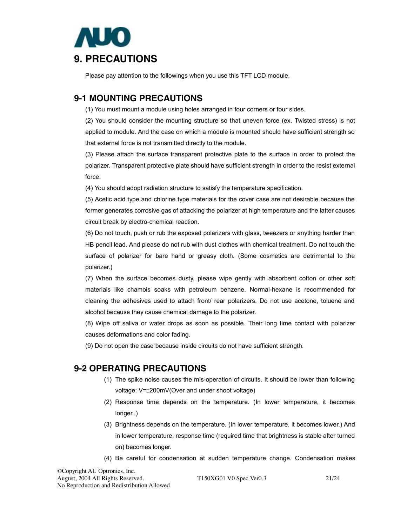

Please pay attention to the followings when you use this TFT LCD module.

### **9-1 MOUNTING PRECAUTIONS**

(1) You must mount a module using holes arranged in four corners or four sides.

(2) You should consider the mounting structure so that uneven force (ex. Twisted stress) is not applied to module. And the case on which a module is mounted should have sufficient strength so that external force is not transmitted directly to the module.

(3) Please attach the surface transparent protective plate to the surface in order to protect the polarizer. Transparent protective plate should have sufficient strength in order to the resist external force.

(4) You should adopt radiation structure to satisfy the temperature specification.

(5) Acetic acid type and chlorine type materials for the cover case are not desirable because the former generates corrosive gas of attacking the polarizer at high temperature and the latter causes circuit break by electro-chemical reaction.

(6) Do not touch, push or rub the exposed polarizers with glass, tweezers or anything harder than HB pencil lead. And please do not rub with dust clothes with chemical treatment. Do not touch the surface of polarizer for bare hand or greasy cloth. (Some cosmetics are detrimental to the polarizer.)

(7) When the surface becomes dusty, please wipe gently with absorbent cotton or other soft materials like chamois soaks with petroleum benzene. Normal-hexane is recommended for cleaning the adhesives used to attach front/ rear polarizers. Do not use acetone, toluene and alcohol because they cause chemical damage to the polarizer.

(8) Wipe off saliva or water drops as soon as possible. Their long time contact with polarizer causes deformations and color fading.

(9) Do not open the case because inside circuits do not have sufficient strength.

### **9-2 OPERATING PRECAUTIONS**

- (1) The spike noise causes the mis-operation of circuits. It should be lower than following voltage: V=±200mV(Over and under shoot voltage)
- (2) Response time depends on the temperature. (In lower temperature, it becomes longer..)
- (3) Brightness depends on the temperature. (In lower temperature, it becomes lower.) And in lower temperature, response time (required time that brightness is stable after turned on) becomes longer.
- (4) Be careful for condensation at sudden temperature change. Condensation makes

August, 2004 All Rights Reserved. T150XG01 V0 Spec Ver0.3 21/24